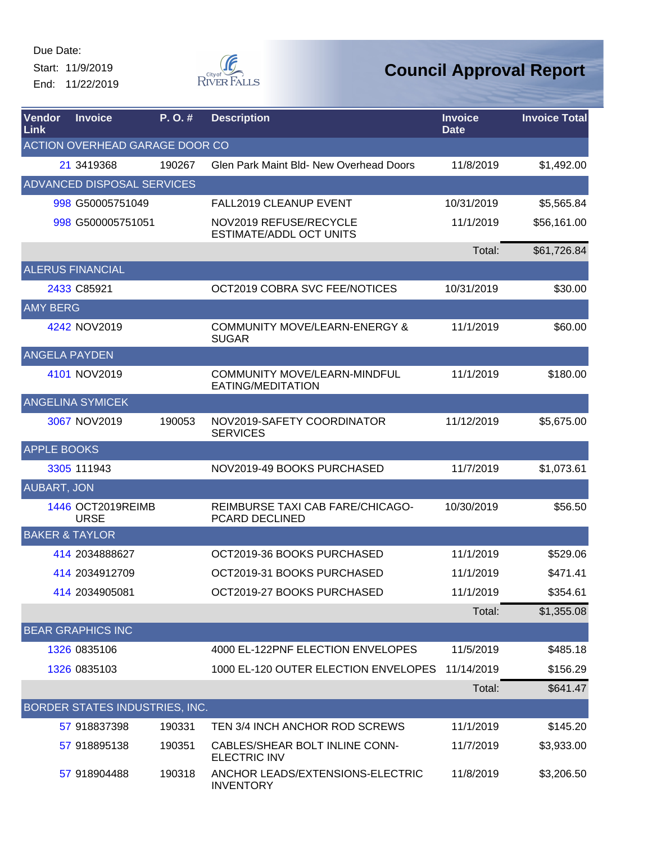Start: 11/9/2019 End: 11/22/2019



| Vendor<br>Link            | <b>Invoice</b>                    | P.O.#  | <b>Description</b>                                        | <b>Invoice</b><br><b>Date</b> | <b>Invoice Total</b> |
|---------------------------|-----------------------------------|--------|-----------------------------------------------------------|-------------------------------|----------------------|
|                           | ACTION OVERHEAD GARAGE DOOR CO    |        |                                                           |                               |                      |
|                           | 21 3419368                        | 190267 | <b>Glen Park Maint Bld- New Overhead Doors</b>            | 11/8/2019                     | \$1,492.00           |
|                           | <b>ADVANCED DISPOSAL SERVICES</b> |        |                                                           |                               |                      |
|                           | 998 G50005751049                  |        | <b>FALL2019 CLEANUP EVENT</b>                             | 10/31/2019                    | \$5,565.84           |
|                           | 998 G500005751051                 |        | NOV2019 REFUSE/RECYCLE<br>ESTIMATE/ADDL OCT UNITS         | 11/1/2019                     | \$56,161.00          |
|                           |                                   |        |                                                           | Total:                        | \$61,726.84          |
|                           | <b>ALERUS FINANCIAL</b>           |        |                                                           |                               |                      |
|                           | 2433 C85921                       |        | OCT2019 COBRA SVC FEE/NOTICES                             | 10/31/2019                    | \$30.00              |
| <b>AMY BERG</b>           |                                   |        |                                                           |                               |                      |
|                           | 4242 NOV2019                      |        | <b>COMMUNITY MOVE/LEARN-ENERGY &amp;</b><br><b>SUGAR</b>  | 11/1/2019                     | \$60.00              |
| <b>ANGELA PAYDEN</b>      |                                   |        |                                                           |                               |                      |
|                           | 4101 NOV2019                      |        | COMMUNITY MOVE/LEARN-MINDFUL<br>EATING/MEDITATION         | 11/1/2019                     | \$180.00             |
|                           | <b>ANGELINA SYMICEK</b>           |        |                                                           |                               |                      |
|                           | 3067 NOV2019                      | 190053 | NOV2019-SAFETY COORDINATOR<br><b>SERVICES</b>             | 11/12/2019                    | \$5,675.00           |
| <b>APPLE BOOKS</b>        |                                   |        |                                                           |                               |                      |
|                           | 3305 111943                       |        | NOV2019-49 BOOKS PURCHASED                                | 11/7/2019                     | \$1,073.61           |
| <b>AUBART, JON</b>        |                                   |        |                                                           |                               |                      |
|                           | 1446 OCT2019REIMB<br><b>URSE</b>  |        | REIMBURSE TAXI CAB FARE/CHICAGO-<br><b>PCARD DECLINED</b> | 10/30/2019                    | \$56.50              |
| <b>BAKER &amp; TAYLOR</b> |                                   |        |                                                           |                               |                      |
|                           | 414 2034888627                    |        | OCT2019-36 BOOKS PURCHASED                                | 11/1/2019                     | \$529.06             |
|                           | 414 2034912709                    |        | OCT2019-31 BOOKS PURCHASED                                | 11/1/2019                     | \$471.41             |
|                           | 414 2034905081                    |        | OCT2019-27 BOOKS PURCHASED                                | 11/1/2019                     | \$354.61             |
|                           |                                   |        |                                                           | Total:                        | \$1,355.08           |
|                           | <b>BEAR GRAPHICS INC</b>          |        |                                                           |                               |                      |
|                           | 1326 0835106                      |        | 4000 EL-122PNF ELECTION ENVELOPES                         | 11/5/2019                     | \$485.18             |
|                           | 1326 0835103                      |        | 1000 EL-120 OUTER ELECTION ENVELOPES                      | 11/14/2019                    | \$156.29             |
|                           |                                   |        |                                                           | Total:                        | \$641.47             |
|                           | BORDER STATES INDUSTRIES, INC.    |        |                                                           |                               |                      |
|                           | 57 918837398                      | 190331 | TEN 3/4 INCH ANCHOR ROD SCREWS                            | 11/1/2019                     | \$145.20             |
|                           | 57 918895138                      | 190351 | CABLES/SHEAR BOLT INLINE CONN-<br><b>ELECTRIC INV</b>     | 11/7/2019                     | \$3,933.00           |
|                           | 57 918904488                      | 190318 | ANCHOR LEADS/EXTENSIONS-ELECTRIC<br><b>INVENTORY</b>      | 11/8/2019                     | \$3,206.50           |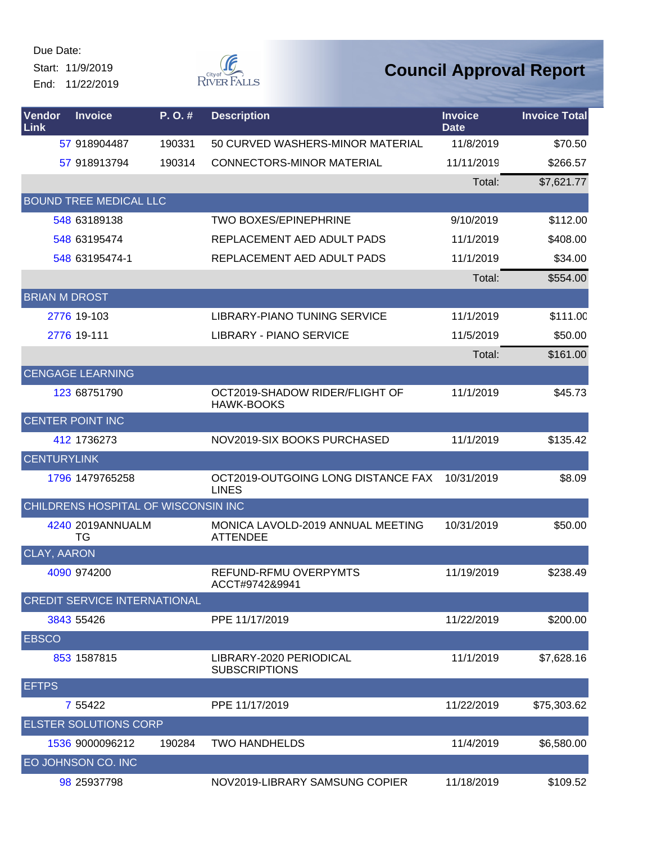Start: 11/9/2019 End: 11/22/2019



| Vendor<br>Link       | <b>Invoice</b>                      | P.O.#  | <b>Description</b>                                   | <b>Invoice</b><br><b>Date</b> | <b>Invoice Total</b> |
|----------------------|-------------------------------------|--------|------------------------------------------------------|-------------------------------|----------------------|
|                      | 57 918904487                        | 190331 | 50 CURVED WASHERS-MINOR MATERIAL                     | 11/8/2019                     | \$70.50              |
|                      | 57 918913794                        | 190314 | <b>CONNECTORS-MINOR MATERIAL</b>                     | 11/11/2019                    | \$266.57             |
|                      |                                     |        |                                                      | Total:                        | \$7,621.77           |
|                      | <b>BOUND TREE MEDICAL LLC</b>       |        |                                                      |                               |                      |
|                      | 548 63189138                        |        | <b>TWO BOXES/EPINEPHRINE</b>                         | 9/10/2019                     | \$112.00             |
|                      | 548 63195474                        |        | REPLACEMENT AED ADULT PADS                           | 11/1/2019                     | \$408.00             |
|                      | 548 63195474-1                      |        | REPLACEMENT AED ADULT PADS                           | 11/1/2019                     | \$34.00              |
|                      |                                     |        |                                                      | Total:                        | \$554.00             |
| <b>BRIAN M DROST</b> |                                     |        |                                                      |                               |                      |
|                      | 2776 19-103                         |        | LIBRARY-PIANO TUNING SERVICE                         | 11/1/2019                     | \$111.00             |
|                      | 2776 19-111                         |        | <b>LIBRARY - PIANO SERVICE</b>                       | 11/5/2019                     | \$50.00              |
|                      |                                     |        |                                                      | Total:                        | \$161.00             |
|                      | <b>CENGAGE LEARNING</b>             |        |                                                      |                               |                      |
|                      | 123 68751790                        |        | OCT2019-SHADOW RIDER/FLIGHT OF<br><b>HAWK-BOOKS</b>  | 11/1/2019                     | \$45.73              |
|                      | <b>CENTER POINT INC</b>             |        |                                                      |                               |                      |
|                      | 412 1736273                         |        | NOV2019-SIX BOOKS PURCHASED                          | 11/1/2019                     | \$135.42             |
| <b>CENTURYLINK</b>   |                                     |        |                                                      |                               |                      |
|                      | 1796 1479765258                     |        | OCT2019-OUTGOING LONG DISTANCE FAX<br><b>LINES</b>   | 10/31/2019                    | \$8.09               |
|                      | CHILDRENS HOSPITAL OF WISCONSIN INC |        |                                                      |                               |                      |
|                      | 4240 2019ANNUALM<br>ТG              |        | MONICA LAVOLD-2019 ANNUAL MEETING<br><b>ATTENDEE</b> | 10/31/2019                    | \$50.00              |
| <b>CLAY, AARON</b>   |                                     |        |                                                      |                               |                      |
|                      | 4090 974200                         |        | REFUND-RFMU OVERPYMTS<br>ACCT#9742&9941              | 11/19/2019                    | \$238.49             |
|                      | <b>CREDIT SERVICE INTERNATIONAL</b> |        |                                                      |                               |                      |
|                      | 3843 55426                          |        | PPE 11/17/2019                                       | 11/22/2019                    | \$200.00             |
| <b>EBSCO</b>         |                                     |        |                                                      |                               |                      |
|                      | 853 1587815                         |        | LIBRARY-2020 PERIODICAL<br><b>SUBSCRIPTIONS</b>      | 11/1/2019                     | \$7,628.16           |
| <b>EFTPS</b>         |                                     |        |                                                      |                               |                      |
|                      | 7 5 5 4 2 2                         |        | PPE 11/17/2019                                       | 11/22/2019                    | \$75,303.62          |
|                      | <b>ELSTER SOLUTIONS CORP</b>        |        |                                                      |                               |                      |
|                      | 1536 9000096212                     | 190284 | <b>TWO HANDHELDS</b>                                 | 11/4/2019                     | \$6,580.00           |
|                      | EO JOHNSON CO. INC                  |        |                                                      |                               |                      |
|                      | 98 25937798                         |        | NOV2019-LIBRARY SAMSUNG COPIER                       | 11/18/2019                    | \$109.52             |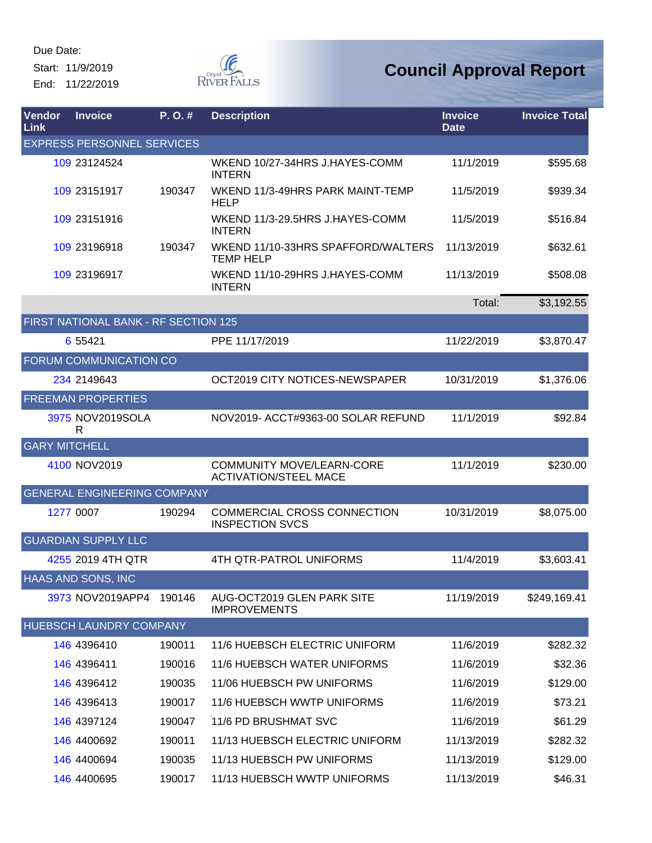Start: 11/9/2019 End: 11/22/2019



| Vendor<br>Link       | <b>Invoice</b>                       | $P. O.$ # | <b>Description</b>                                               | <b>Invoice</b><br><b>Date</b> | <b>Invoice Total</b> |
|----------------------|--------------------------------------|-----------|------------------------------------------------------------------|-------------------------------|----------------------|
|                      | <b>EXPRESS PERSONNEL SERVICES</b>    |           |                                                                  |                               |                      |
|                      | 109 23124524                         |           | WKEND 10/27-34HRS J.HAYES-COMM<br><b>INTERN</b>                  | 11/1/2019                     | \$595.68             |
|                      | 109 23151917                         | 190347    | WKEND 11/3-49HRS PARK MAINT-TEMP<br><b>HELP</b>                  | 11/5/2019                     | \$939.34             |
|                      | 109 23151916                         |           | WKEND 11/3-29.5HRS J.HAYES-COMM<br><b>INTERN</b>                 | 11/5/2019                     | \$516.84             |
|                      | 109 23196918                         | 190347    | WKEND 11/10-33HRS SPAFFORD/WALTERS<br><b>TEMP HELP</b>           | 11/13/2019                    | \$632.61             |
|                      | 109 23196917                         |           | WKEND 11/10-29HRS J.HAYES-COMM<br><b>INTERN</b>                  | 11/13/2019                    | \$508.08             |
|                      |                                      |           |                                                                  | Total:                        | \$3,192.55           |
|                      | FIRST NATIONAL BANK - RF SECTION 125 |           |                                                                  |                               |                      |
|                      | 6 5 5 4 2 1                          |           | PPE 11/17/2019                                                   | 11/22/2019                    | \$3,870.47           |
|                      | FORUM COMMUNICATION CO               |           |                                                                  |                               |                      |
|                      | 234 2149643                          |           | OCT2019 CITY NOTICES-NEWSPAPER                                   | 10/31/2019                    | \$1,376.06           |
|                      | <b>FREEMAN PROPERTIES</b>            |           |                                                                  |                               |                      |
|                      | 3975 NOV2019SOLA<br>R                |           | NOV2019- ACCT#9363-00 SOLAR REFUND                               | 11/1/2019                     | \$92.84              |
| <b>GARY MITCHELL</b> |                                      |           |                                                                  |                               |                      |
|                      | 4100 NOV2019                         |           | <b>COMMUNITY MOVE/LEARN-CORE</b><br><b>ACTIVATION/STEEL MACE</b> | 11/1/2019                     | \$230.00             |
|                      | <b>GENERAL ENGINEERING COMPANY</b>   |           |                                                                  |                               |                      |
|                      | 1277 0007                            | 190294    | COMMERCIAL CROSS CONNECTION<br><b>INSPECTION SVCS</b>            | 10/31/2019                    | \$8,075.00           |
|                      | <b>GUARDIAN SUPPLY LLC</b>           |           |                                                                  |                               |                      |
|                      | 4255 2019 4TH QTR                    |           | 4TH QTR-PATROL UNIFORMS                                          | 11/4/2019                     | \$3,603.41           |
|                      | HAAS AND SONS, INC                   |           |                                                                  |                               |                      |
|                      | 3973 NOV2019APP4                     | 190146    | AUG-OCT2019 GLEN PARK SITE<br><b>IMPROVEMENTS</b>                | 11/19/2019                    | \$249,169.41         |
|                      | HUEBSCH LAUNDRY COMPANY              |           |                                                                  |                               |                      |
|                      | 146 4396410                          | 190011    | 11/6 HUEBSCH ELECTRIC UNIFORM                                    | 11/6/2019                     | \$282.32             |
|                      | 146 4396411                          | 190016    | 11/6 HUEBSCH WATER UNIFORMS                                      | 11/6/2019                     | \$32.36              |
|                      | 146 4396412                          | 190035    | 11/06 HUEBSCH PW UNIFORMS                                        | 11/6/2019                     | \$129.00             |
|                      | 146 4396413                          | 190017    | 11/6 HUEBSCH WWTP UNIFORMS                                       | 11/6/2019                     | \$73.21              |
|                      | 146 4397124                          | 190047    | 11/6 PD BRUSHMAT SVC                                             | 11/6/2019                     | \$61.29              |
|                      | 146 4400692                          | 190011    | 11/13 HUEBSCH ELECTRIC UNIFORM                                   | 11/13/2019                    | \$282.32             |
|                      | 146 4400694                          | 190035    | 11/13 HUEBSCH PW UNIFORMS                                        | 11/13/2019                    | \$129.00             |
|                      | 146 4400695                          | 190017    | 11/13 HUEBSCH WWTP UNIFORMS                                      | 11/13/2019                    | \$46.31              |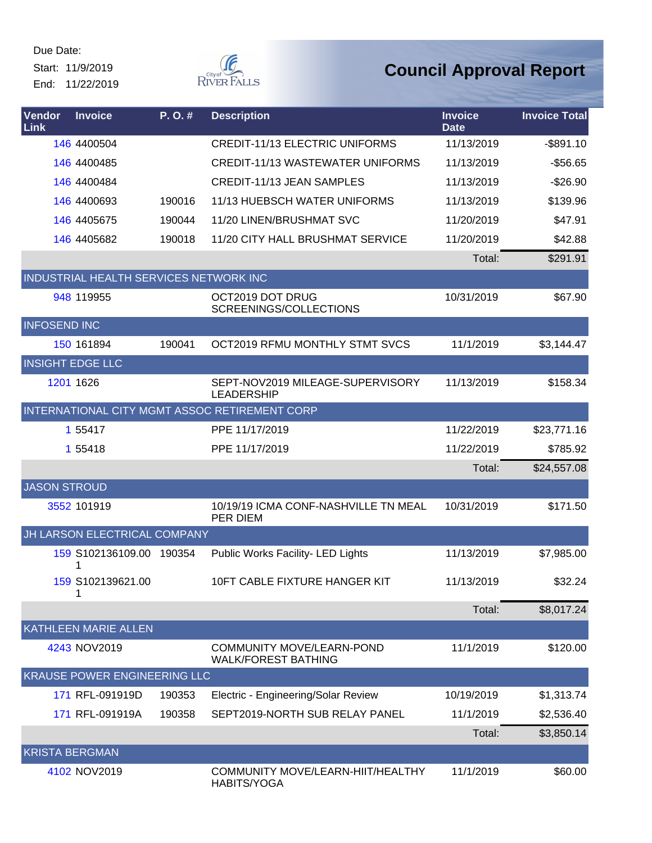Start: 11/9/2019 End: 11/22/2019



| Vendor<br>Link          | <b>Invoice</b>                         | P. O. # | <b>Description</b>                                             | <b>Invoice</b><br><b>Date</b> | <b>Invoice Total</b> |
|-------------------------|----------------------------------------|---------|----------------------------------------------------------------|-------------------------------|----------------------|
|                         | 146 4400504                            |         | <b>CREDIT-11/13 ELECTRIC UNIFORMS</b>                          | 11/13/2019                    | $-$ \$891.10         |
|                         | 146 4400485                            |         | <b>CREDIT-11/13 WASTEWATER UNIFORMS</b>                        | 11/13/2019                    | $-$56.65$            |
|                         | 146 4400484                            |         | <b>CREDIT-11/13 JEAN SAMPLES</b>                               | 11/13/2019                    | $-$26.90$            |
|                         | 146 4400693                            | 190016  | 11/13 HUEBSCH WATER UNIFORMS                                   | 11/13/2019                    | \$139.96             |
|                         | 146 4405675                            | 190044  | 11/20 LINEN/BRUSHMAT SVC                                       | 11/20/2019                    | \$47.91              |
|                         | 146 4405682                            | 190018  | 11/20 CITY HALL BRUSHMAT SERVICE                               | 11/20/2019                    | \$42.88              |
|                         |                                        |         |                                                                | Total:                        | \$291.91             |
|                         | INDUSTRIAL HEALTH SERVICES NETWORK INC |         |                                                                |                               |                      |
|                         | 948 119955                             |         | OCT2019 DOT DRUG<br>SCREENINGS/COLLECTIONS                     | 10/31/2019                    | \$67.90              |
| <b>INFOSEND INC</b>     |                                        |         |                                                                |                               |                      |
|                         | 150 161894                             | 190041  | OCT2019 RFMU MONTHLY STMT SVCS                                 | 11/1/2019                     | \$3,144.47           |
| <b>INSIGHT EDGE LLC</b> |                                        |         |                                                                |                               |                      |
|                         | 1201 1626                              |         | SEPT-NOV2019 MILEAGE-SUPERVISORY<br><b>LEADERSHIP</b>          | 11/13/2019                    | \$158.34             |
|                         |                                        |         | INTERNATIONAL CITY MGMT ASSOC RETIREMENT CORP                  |                               |                      |
|                         | 1 55417                                |         | PPE 11/17/2019                                                 | 11/22/2019                    | \$23,771.16          |
|                         | 1 55418                                |         | PPE 11/17/2019                                                 | 11/22/2019                    | \$785.92             |
|                         |                                        |         |                                                                | Total:                        | \$24,557.08          |
| <b>JASON STROUD</b>     |                                        |         |                                                                |                               |                      |
|                         | 3552 101919                            |         | 10/19/19 ICMA CONF-NASHVILLE TN MEAL<br>PER DIEM               | 10/31/2019                    | \$171.50             |
|                         | JH LARSON ELECTRICAL COMPANY           |         |                                                                |                               |                      |
|                         | 159 S102136109.00 190354               |         | Public Works Facility- LED Lights                              | 11/13/2019                    | \$7,985.00           |
|                         | 159 S102139621.00<br>1                 |         | 10FT CABLE FIXTURE HANGER KIT                                  | 11/13/2019                    | \$32.24              |
|                         |                                        |         |                                                                | Total:                        | \$8,017.24           |
|                         | <b>KATHLEEN MARIE ALLEN</b>            |         |                                                                |                               |                      |
|                         | 4243 NOV2019                           |         | <b>COMMUNITY MOVE/LEARN-POND</b><br><b>WALK/FOREST BATHING</b> | 11/1/2019                     | \$120.00             |
|                         | <b>KRAUSE POWER ENGINEERING LLC</b>    |         |                                                                |                               |                      |
|                         | 171 RFL-091919D                        | 190353  | Electric - Engineering/Solar Review                            | 10/19/2019                    | \$1,313.74           |
|                         | 171 RFL-091919A                        | 190358  | SEPT2019-NORTH SUB RELAY PANEL                                 | 11/1/2019                     | \$2,536.40           |
|                         |                                        |         |                                                                | Total:                        | \$3,850.14           |
| <b>KRISTA BERGMAN</b>   |                                        |         |                                                                |                               |                      |
|                         | 4102 NOV2019                           |         | COMMUNITY MOVE/LEARN-HIIT/HEALTHY<br>HABITS/YOGA               | 11/1/2019                     | \$60.00              |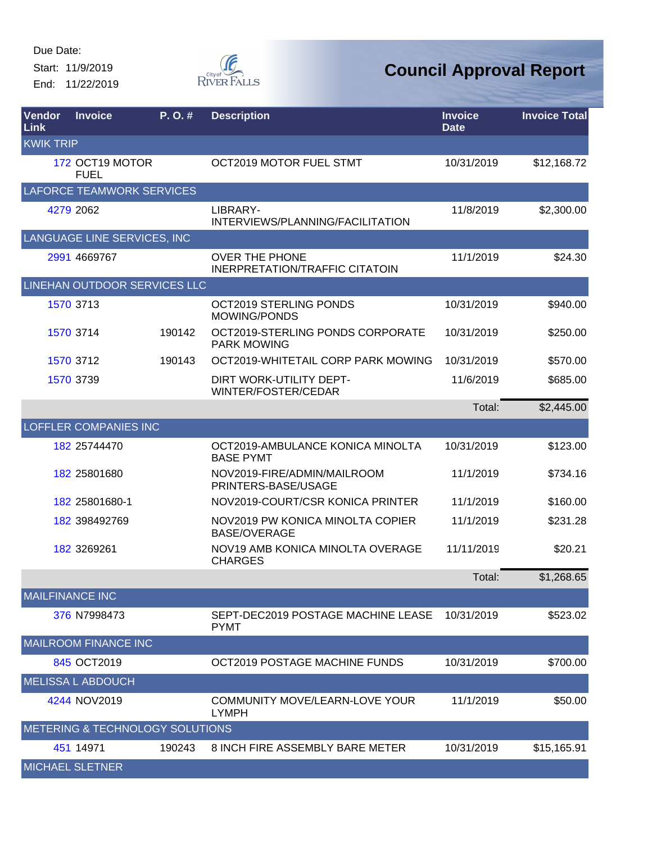Start: 11/9/2019 End: 11/22/2019



| Vendor<br>Link   | <b>Invoice</b>                             | P. O. # | <b>Description</b>                                             | <b>Invoice</b><br><b>Date</b> | <b>Invoice Total</b> |
|------------------|--------------------------------------------|---------|----------------------------------------------------------------|-------------------------------|----------------------|
| <b>KWIK TRIP</b> |                                            |         |                                                                |                               |                      |
|                  | 172 OCT19 MOTOR<br><b>FUEL</b>             |         | OCT2019 MOTOR FUEL STMT                                        | 10/31/2019                    | \$12,168.72          |
|                  | <b>LAFORCE TEAMWORK SERVICES</b>           |         |                                                                |                               |                      |
|                  | 4279 2062                                  |         | LIBRARY-<br>INTERVIEWS/PLANNING/FACILITATION                   | 11/8/2019                     | \$2,300.00           |
|                  | LANGUAGE LINE SERVICES, INC                |         |                                                                |                               |                      |
|                  | 2991 4669767                               |         | <b>OVER THE PHONE</b><br><b>INERPRETATION/TRAFFIC CITATOIN</b> | 11/1/2019                     | \$24.30              |
|                  | LINEHAN OUTDOOR SERVICES LLC               |         |                                                                |                               |                      |
|                  | 1570 3713                                  |         | OCT2019 STERLING PONDS<br><b>MOWING/PONDS</b>                  | 10/31/2019                    | \$940.00             |
|                  | 1570 3714                                  | 190142  | OCT2019-STERLING PONDS CORPORATE<br><b>PARK MOWING</b>         | 10/31/2019                    | \$250.00             |
|                  | 1570 3712                                  | 190143  | OCT2019-WHITETAIL CORP PARK MOWING                             | 10/31/2019                    | \$570.00             |
|                  | 1570 3739                                  |         | DIRT WORK-UTILITY DEPT-<br>WINTER/FOSTER/CEDAR                 | 11/6/2019                     | \$685.00             |
|                  |                                            |         |                                                                | Total:                        | \$2,445.00           |
|                  | <b>LOFFLER COMPANIES INC</b>               |         |                                                                |                               |                      |
|                  | 182 25744470                               |         | OCT2019-AMBULANCE KONICA MINOLTA<br><b>BASE PYMT</b>           | 10/31/2019                    | \$123.00             |
|                  | 182 25801680                               |         | NOV2019-FIRE/ADMIN/MAILROOM<br>PRINTERS-BASE/USAGE             | 11/1/2019                     | \$734.16             |
|                  | 182 25801680-1                             |         | NOV2019-COURT/CSR KONICA PRINTER                               | 11/1/2019                     | \$160.00             |
|                  | 182 398492769                              |         | NOV2019 PW KONICA MINOLTA COPIER<br><b>BASE/OVERAGE</b>        | 11/1/2019                     | \$231.28             |
|                  | 182 3269261                                |         | NOV19 AMB KONICA MINOLTA OVERAGE<br><b>CHARGES</b>             | 11/11/2019                    | \$20.21              |
|                  |                                            |         |                                                                | Total:                        | \$1,268.65           |
|                  | <b>MAILFINANCE INC</b>                     |         |                                                                |                               |                      |
|                  | 376 N7998473                               |         | SEPT-DEC2019 POSTAGE MACHINE LEASE<br><b>PYMT</b>              | 10/31/2019                    | \$523.02             |
|                  | <b>MAILROOM FINANCE INC</b>                |         |                                                                |                               |                      |
|                  | 845 OCT2019                                |         | OCT2019 POSTAGE MACHINE FUNDS                                  | 10/31/2019                    | \$700.00             |
|                  | <b>MELISSA L ABDOUCH</b>                   |         |                                                                |                               |                      |
|                  | 4244 NOV2019                               |         | COMMUNITY MOVE/LEARN-LOVE YOUR<br><b>LYMPH</b>                 | 11/1/2019                     | \$50.00              |
|                  | <b>METERING &amp; TECHNOLOGY SOLUTIONS</b> |         |                                                                |                               |                      |
|                  | 451 14971                                  | 190243  | 8 INCH FIRE ASSEMBLY BARE METER                                | 10/31/2019                    | \$15,165.91          |
|                  | <b>MICHAEL SLETNER</b>                     |         |                                                                |                               |                      |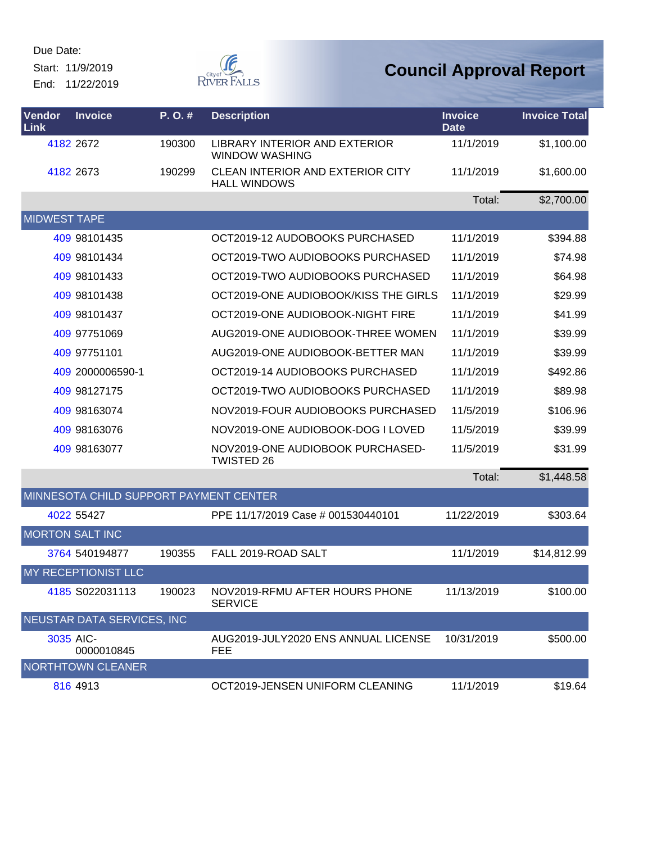Start: 11/9/2019 End: 11/22/2019



| Vendor<br>Link      | <b>Invoice</b>                         | P.O.#  | <b>Description</b>                                             | <b>Invoice</b><br><b>Date</b> | <b>Invoice Total</b> |
|---------------------|----------------------------------------|--------|----------------------------------------------------------------|-------------------------------|----------------------|
|                     | 4182 2672                              | 190300 | LIBRARY INTERIOR AND EXTERIOR<br><b>WINDOW WASHING</b>         | 11/1/2019                     | \$1,100.00           |
|                     | 4182 2673                              | 190299 | <b>CLEAN INTERIOR AND EXTERIOR CITY</b><br><b>HALL WINDOWS</b> | 11/1/2019                     | \$1,600.00           |
|                     |                                        |        |                                                                | Total:                        | \$2,700.00           |
| <b>MIDWEST TAPE</b> |                                        |        |                                                                |                               |                      |
|                     | 409 98101435                           |        | OCT2019-12 AUDOBOOKS PURCHASED                                 | 11/1/2019                     | \$394.88             |
|                     | 409 98101434                           |        | OCT2019-TWO AUDIOBOOKS PURCHASED                               | 11/1/2019                     | \$74.98              |
|                     | 409 98101433                           |        | OCT2019-TWO AUDIOBOOKS PURCHASED                               | 11/1/2019                     | \$64.98              |
|                     | 409 98101438                           |        | OCT2019-ONE AUDIOBOOK/KISS THE GIRLS                           | 11/1/2019                     | \$29.99              |
|                     | 409 98101437                           |        | OCT2019-ONE AUDIOBOOK-NIGHT FIRE                               | 11/1/2019                     | \$41.99              |
|                     | 409 97751069                           |        | AUG2019-ONE AUDIOBOOK-THREE WOMEN                              | 11/1/2019                     | \$39.99              |
|                     | 409 97751101                           |        | AUG2019-ONE AUDIOBOOK-BETTER MAN                               | 11/1/2019                     | \$39.99              |
|                     | 409 2000006590-1                       |        | OCT2019-14 AUDIOBOOKS PURCHASED                                | 11/1/2019                     | \$492.86             |
|                     | 409 98127175                           |        | OCT2019-TWO AUDIOBOOKS PURCHASED                               | 11/1/2019                     | \$89.98              |
|                     | 409 98163074                           |        | NOV2019-FOUR AUDIOBOOKS PURCHASED                              | 11/5/2019                     | \$106.96             |
|                     | 409 98163076                           |        | NOV2019-ONE AUDIOBOOK-DOG I LOVED                              | 11/5/2019                     | \$39.99              |
|                     | 409 98163077                           |        | NOV2019-ONE AUDIOBOOK PURCHASED-<br><b>TWISTED 26</b>          | 11/5/2019                     | \$31.99              |
|                     |                                        |        |                                                                | Total:                        | \$1,448.58           |
|                     | MINNESOTA CHILD SUPPORT PAYMENT CENTER |        |                                                                |                               |                      |
|                     | 4022 55427                             |        | PPE 11/17/2019 Case # 001530440101                             | 11/22/2019                    | \$303.64             |
|                     | <b>MORTON SALT INC</b>                 |        |                                                                |                               |                      |
|                     | 3764 540194877                         | 190355 | FALL 2019-ROAD SALT                                            | 11/1/2019                     | \$14,812.99          |
|                     | MY RECEPTIONIST LLC                    |        |                                                                |                               |                      |
|                     | 4185 S022031113                        | 190023 | NOV2019-RFMU AFTER HOURS PHONE<br><b>SERVICE</b>               | 11/13/2019                    | \$100.00             |
|                     | <b>NEUSTAR DATA SERVICES, INC</b>      |        |                                                                |                               |                      |
|                     | 3035 AIC-<br>0000010845                |        | AUG2019-JULY2020 ENS ANNUAL LICENSE<br><b>FEE</b>              | 10/31/2019                    | \$500.00             |
|                     | <b>NORTHTOWN CLEANER</b>               |        |                                                                |                               |                      |
|                     | 816 4913                               |        | OCT2019-JENSEN UNIFORM CLEANING                                | 11/1/2019                     | \$19.64              |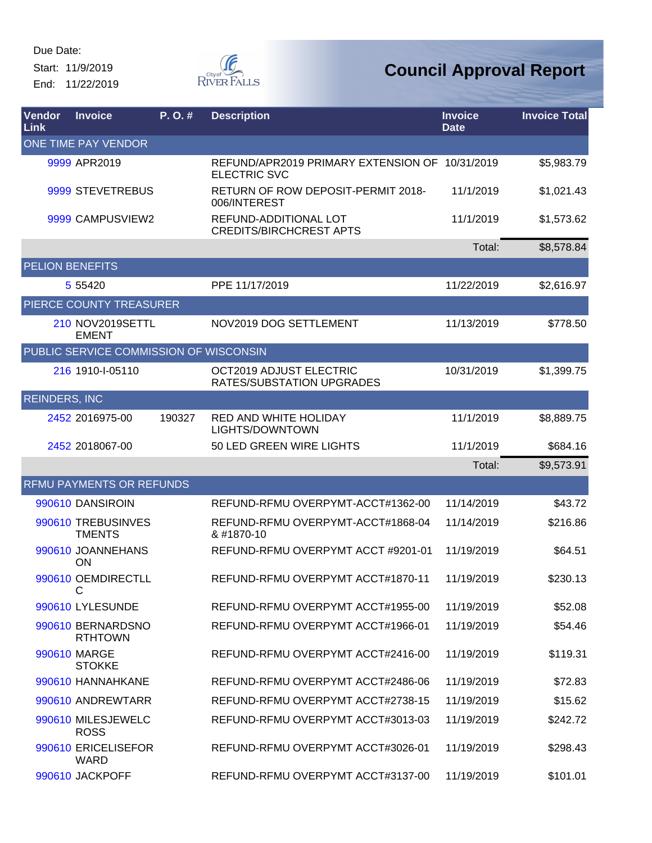Start: 11/9/2019 End: 11/22/2019



| Vendor<br>Link       | <b>Invoice</b>                         | P.O.#  | <b>Description</b>                                                    | <b>Invoice</b><br><b>Date</b> | <b>Invoice Total</b> |
|----------------------|----------------------------------------|--------|-----------------------------------------------------------------------|-------------------------------|----------------------|
|                      | ONE TIME PAY VENDOR                    |        |                                                                       |                               |                      |
|                      | 9999 APR2019                           |        | REFUND/APR2019 PRIMARY EXTENSION OF 10/31/2019<br><b>ELECTRIC SVC</b> |                               | \$5,983.79           |
|                      | 9999 STEVETREBUS                       |        | RETURN OF ROW DEPOSIT-PERMIT 2018-<br>006/INTEREST                    | 11/1/2019                     | \$1,021.43           |
|                      | 9999 CAMPUSVIEW2                       |        | REFUND-ADDITIONAL LOT<br><b>CREDITS/BIRCHCREST APTS</b>               | 11/1/2019                     | \$1,573.62           |
|                      |                                        |        |                                                                       | Total:                        | \$8,578.84           |
|                      | <b>PELION BENEFITS</b>                 |        |                                                                       |                               |                      |
|                      | 5 5 5 4 2 0                            |        | PPE 11/17/2019                                                        | 11/22/2019                    | \$2,616.97           |
|                      | PIERCE COUNTY TREASURER                |        |                                                                       |                               |                      |
|                      | 210 NOV2019SETTL<br><b>EMENT</b>       |        | NOV2019 DOG SETTLEMENT                                                | 11/13/2019                    | \$778.50             |
|                      | PUBLIC SERVICE COMMISSION OF WISCONSIN |        |                                                                       |                               |                      |
|                      | 216 1910-I-05110                       |        | OCT2019 ADJUST ELECTRIC<br>RATES/SUBSTATION UPGRADES                  | 10/31/2019                    | \$1,399.75           |
| <b>REINDERS, INC</b> |                                        |        |                                                                       |                               |                      |
|                      | 2452 2016975-00                        | 190327 | RED AND WHITE HOLIDAY<br>LIGHTS/DOWNTOWN                              | 11/1/2019                     | \$8,889.75           |
|                      | 2452 2018067-00                        |        | 50 LED GREEN WIRE LIGHTS                                              | 11/1/2019                     | \$684.16             |
|                      |                                        |        |                                                                       | Total:                        | \$9,573.91           |
|                      | RFMU PAYMENTS OR REFUNDS               |        |                                                                       |                               |                      |
|                      | 990610 DANSIROIN                       |        | REFUND-RFMU OVERPYMT-ACCT#1362-00                                     | 11/14/2019                    | \$43.72              |
|                      | 990610 TREBUSINVES<br><b>TMENTS</b>    |        | REFUND-RFMU OVERPYMT-ACCT#1868-04<br>& #1870-10                       | 11/14/2019                    | \$216.86             |
|                      | 990610 JOANNEHANS<br>ON                |        | REFUND-RFMU OVERPYMT ACCT #9201-01                                    | 11/19/2019                    | \$64.51              |
|                      | 990610 OEMDIRECTLL<br>С                |        | REFUND-RFMU OVERPYMT ACCT#1870-11                                     | 11/19/2019                    | \$230.13             |
|                      | 990610 LYLESUNDE                       |        | REFUND-RFMU OVERPYMT ACCT#1955-00                                     | 11/19/2019                    | \$52.08              |
|                      | 990610 BERNARDSNO<br><b>RTHTOWN</b>    |        | REFUND-RFMU OVERPYMT ACCT#1966-01                                     | 11/19/2019                    | \$54.46              |
|                      | 990610 MARGE<br><b>STOKKE</b>          |        | REFUND-RFMU OVERPYMT ACCT#2416-00                                     | 11/19/2019                    | \$119.31             |
|                      | 990610 HANNAHKANE                      |        | REFUND-RFMU OVERPYMT ACCT#2486-06                                     | 11/19/2019                    | \$72.83              |
|                      | 990610 ANDREWTARR                      |        | REFUND-RFMU OVERPYMT ACCT#2738-15                                     | 11/19/2019                    | \$15.62              |
|                      | 990610 MILESJEWELC<br><b>ROSS</b>      |        | REFUND-RFMU OVERPYMT ACCT#3013-03                                     | 11/19/2019                    | \$242.72             |
|                      | 990610 ERICELISEFOR<br><b>WARD</b>     |        | REFUND-RFMU OVERPYMT ACCT#3026-01                                     | 11/19/2019                    | \$298.43             |
|                      | 990610 JACKPOFF                        |        | REFUND-RFMU OVERPYMT ACCT#3137-00                                     | 11/19/2019                    | \$101.01             |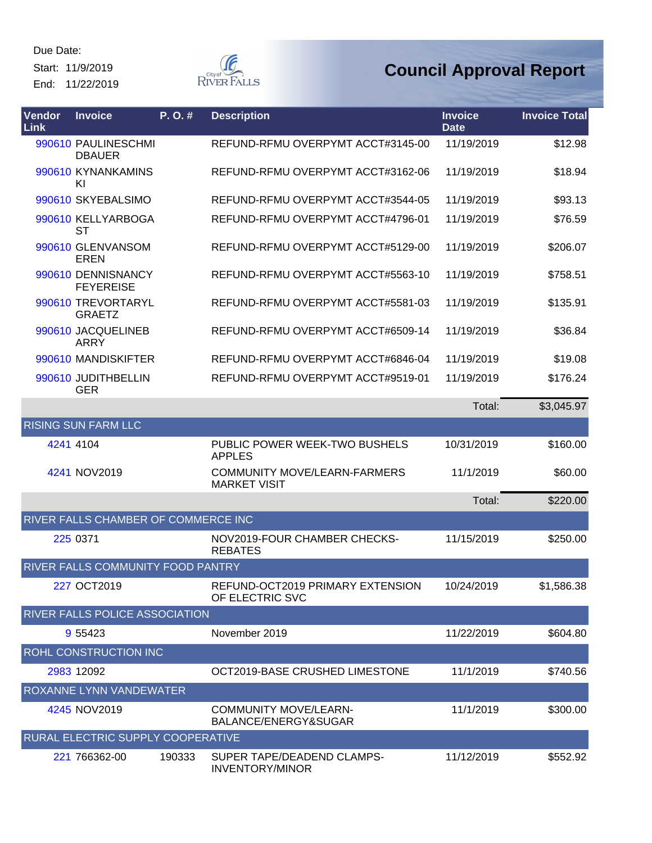Start: 11/9/2019 End: 11/22/2019



| Vendor<br>Link | <b>Invoice</b>                         | P. O. # | <b>Description</b>                                   | <b>Invoice</b><br><b>Date</b> | <b>Invoice Total</b> |
|----------------|----------------------------------------|---------|------------------------------------------------------|-------------------------------|----------------------|
|                | 990610 PAULINESCHMI<br><b>DBAUER</b>   |         | REFUND-RFMU OVERPYMT ACCT#3145-00                    | 11/19/2019                    | \$12.98              |
|                | 990610 KYNANKAMINS<br>KI               |         | REFUND-RFMU OVERPYMT ACCT#3162-06                    | 11/19/2019                    | \$18.94              |
|                | 990610 SKYEBALSIMO                     |         | REFUND-RFMU OVERPYMT ACCT#3544-05                    | 11/19/2019                    | \$93.13              |
|                | 990610 KELLYARBOGA<br>ST               |         | REFUND-RFMU OVERPYMT ACCT#4796-01                    | 11/19/2019                    | \$76.59              |
|                | 990610 GLENVANSOM<br><b>EREN</b>       |         | REFUND-RFMU OVERPYMT ACCT#5129-00                    | 11/19/2019                    | \$206.07             |
|                | 990610 DENNISNANCY<br><b>FEYEREISE</b> |         | REFUND-RFMU OVERPYMT ACCT#5563-10                    | 11/19/2019                    | \$758.51             |
|                | 990610 TREVORTARYL<br><b>GRAETZ</b>    |         | REFUND-RFMU OVERPYMT ACCT#5581-03                    | 11/19/2019                    | \$135.91             |
|                | 990610 JACQUELINEB<br><b>ARRY</b>      |         | REFUND-RFMU OVERPYMT ACCT#6509-14                    | 11/19/2019                    | \$36.84              |
|                | 990610 MANDISKIFTER                    |         | REFUND-RFMU OVERPYMT ACCT#6846-04                    | 11/19/2019                    | \$19.08              |
|                | 990610 JUDITHBELLIN<br><b>GER</b>      |         | REFUND-RFMU OVERPYMT ACCT#9519-01                    | 11/19/2019                    | \$176.24             |
|                |                                        |         |                                                      | Total:                        | \$3,045.97           |
|                | <b>RISING SUN FARM LLC</b>             |         |                                                      |                               |                      |
|                | 4241 4104                              |         | PUBLIC POWER WEEK-TWO BUSHELS<br><b>APPLES</b>       | 10/31/2019                    | \$160.00             |
|                | 4241 NOV2019                           |         | COMMUNITY MOVE/LEARN-FARMERS<br><b>MARKET VISIT</b>  | 11/1/2019                     | \$60.00              |
|                |                                        |         |                                                      | Total:                        | \$220.00             |
|                | RIVER FALLS CHAMBER OF COMMERCE INC    |         |                                                      |                               |                      |
|                | 225 0371                               |         | NOV2019-FOUR CHAMBER CHECKS-<br><b>REBATES</b>       | 11/15/2019                    | \$250.00             |
|                | RIVER FALLS COMMUNITY FOOD PANTRY      |         |                                                      |                               |                      |
|                | 227 OCT2019                            |         | REFUND-OCT2019 PRIMARY EXTENSION<br>OF ELECTRIC SVC  | 10/24/2019                    | \$1,586.38           |
|                | RIVER FALLS POLICE ASSOCIATION         |         |                                                      |                               |                      |
|                | 9 5 5 4 2 3                            |         | November 2019                                        | 11/22/2019                    | \$604.80             |
|                | ROHL CONSTRUCTION INC                  |         |                                                      |                               |                      |
|                | 2983 12092                             |         | OCT2019-BASE CRUSHED LIMESTONE                       | 11/1/2019                     | \$740.56             |
|                | ROXANNE LYNN VANDEWATER                |         |                                                      |                               |                      |
|                | 4245 NOV2019                           |         | <b>COMMUNITY MOVE/LEARN-</b><br>BALANCE/ENERGY&SUGAR | 11/1/2019                     | \$300.00             |
|                | RURAL ELECTRIC SUPPLY COOPERATIVE      |         |                                                      |                               |                      |
|                | 221 766362-00                          | 190333  | SUPER TAPE/DEADEND CLAMPS-<br><b>INVENTORY/MINOR</b> | 11/12/2019                    | \$552.92             |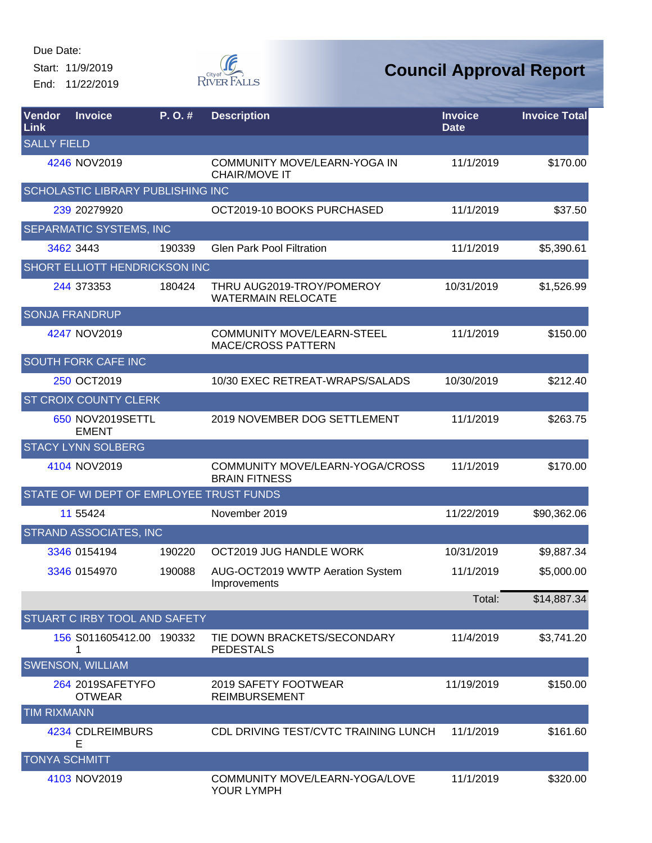Start: 11/9/2019 End: 11/22/2019



| <b>Vendor</b><br>Link | <b>Invoice</b>                           | P. O. # | <b>Description</b>                                             | <b>Invoice</b><br><b>Date</b> | <b>Invoice Total</b> |
|-----------------------|------------------------------------------|---------|----------------------------------------------------------------|-------------------------------|----------------------|
| <b>SALLY FIELD</b>    |                                          |         |                                                                |                               |                      |
|                       | 4246 NOV2019                             |         | COMMUNITY MOVE/LEARN-YOGA IN<br><b>CHAIR/MOVE IT</b>           | 11/1/2019                     | \$170.00             |
|                       | SCHOLASTIC LIBRARY PUBLISHING INC        |         |                                                                |                               |                      |
|                       | 239 20279920                             |         | OCT2019-10 BOOKS PURCHASED                                     | 11/1/2019                     | \$37.50              |
|                       | <b>SEPARMATIC SYSTEMS, INC</b>           |         |                                                                |                               |                      |
|                       | 3462 3443                                | 190339  | <b>Glen Park Pool Filtration</b>                               | 11/1/2019                     | \$5,390.61           |
|                       | <b>SHORT ELLIOTT HENDRICKSON INC</b>     |         |                                                                |                               |                      |
|                       | 244 373353                               | 180424  | THRU AUG2019-TROY/POMEROY<br><b>WATERMAIN RELOCATE</b>         | 10/31/2019                    | \$1,526.99           |
|                       | <b>SONJA FRANDRUP</b>                    |         |                                                                |                               |                      |
|                       | 4247 NOV2019                             |         | <b>COMMUNITY MOVE/LEARN-STEEL</b><br><b>MACE/CROSS PATTERN</b> | 11/1/2019                     | \$150.00             |
|                       | <b>SOUTH FORK CAFE INC</b>               |         |                                                                |                               |                      |
|                       | 250 OCT2019                              |         | 10/30 EXEC RETREAT-WRAPS/SALADS                                | 10/30/2019                    | \$212.40             |
|                       | <b>ST CROIX COUNTY CLERK</b>             |         |                                                                |                               |                      |
|                       | 650 NOV2019SETTL<br><b>EMENT</b>         |         | 2019 NOVEMBER DOG SETTLEMENT                                   | 11/1/2019                     | \$263.75             |
|                       | <b>STACY LYNN SOLBERG</b>                |         |                                                                |                               |                      |
|                       | 4104 NOV2019                             |         | COMMUNITY MOVE/LEARN-YOGA/CROSS<br><b>BRAIN FITNESS</b>        | 11/1/2019                     | \$170.00             |
|                       | STATE OF WI DEPT OF EMPLOYEE TRUST FUNDS |         |                                                                |                               |                      |
|                       | 11 55424                                 |         | November 2019                                                  | 11/22/2019                    | \$90,362.06          |
|                       | <b>STRAND ASSOCIATES, INC</b>            |         |                                                                |                               |                      |
|                       | 3346 0154194                             | 190220  | OCT2019 JUG HANDLE WORK                                        | 10/31/2019                    | \$9,887.34           |
|                       | 3346 0154970                             | 190088  | AUG-OCT2019 WWTP Aeration System<br>Improvements               | 11/1/2019                     | \$5,000.00           |
|                       |                                          |         |                                                                | Total:                        | \$14,887.34          |
|                       | STUART C IRBY TOOL AND SAFETY            |         |                                                                |                               |                      |
|                       | 156 S011605412.00 190332<br>1            |         | TIE DOWN BRACKETS/SECONDARY<br><b>PEDESTALS</b>                | 11/4/2019                     | \$3,741.20           |
|                       | <b>SWENSON, WILLIAM</b>                  |         |                                                                |                               |                      |
|                       | 264 2019SAFETYFO<br><b>OTWEAR</b>        |         | 2019 SAFETY FOOTWEAR<br><b>REIMBURSEMENT</b>                   | 11/19/2019                    | \$150.00             |
| <b>TIM RIXMANN</b>    |                                          |         |                                                                |                               |                      |
|                       | 4234 CDLREIMBURS<br>Е                    |         | CDL DRIVING TEST/CVTC TRAINING LUNCH                           | 11/1/2019                     | \$161.60             |
|                       | <b>TONYA SCHMITT</b>                     |         |                                                                |                               |                      |
|                       | 4103 NOV2019                             |         | COMMUNITY MOVE/LEARN-YOGA/LOVE<br>YOUR LYMPH                   | 11/1/2019                     | \$320.00             |